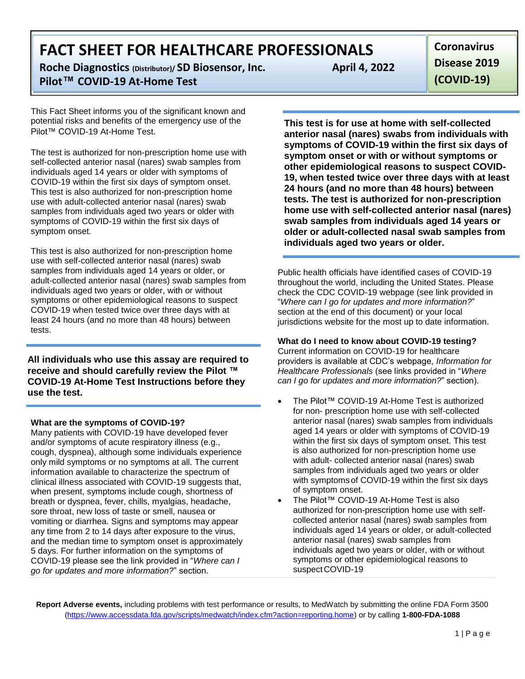**Roche Diagnostics (Distributor)/ SD Biosensor, Inc. Pilot™ COVID-19 At-Home Test**

This Fact Sheet informs you of the significant known and potential risks and benefits of the emergency use of the Pilot™ COVID-19 At-Home Test.

The test is authorized for non-prescription home use with self-collected anterior nasal (nares) swab samples from individuals aged 14 years or older with symptoms of COVID-19 within the first six days of symptom onset. This test is also authorized for non-prescription home use with adult-collected anterior nasal (nares) swab samples from individuals aged two years or older with symptoms of COVID-19 within the first six days of symptom onset.

This test is also authorized for non-prescription home use with self-collected anterior nasal (nares) swab samples from individuals aged 14 years or older, or adult-collected anterior nasal (nares) swab samples from individuals aged two years or older, with or without symptoms or other epidemiological reasons to suspect COVID-19 when tested twice over three days with at least 24 hours (and no more than 48 hours) between tests.

**All individuals who use this assay are required to receive and should carefully review the Pilot ™ COVID-19 At-Home Test Instructions before they use the test.**

## **What are the symptoms of COVID-19?**

Many patients with COVID-19 have developed fever and/or symptoms of acute respiratory illness (e.g., cough, dyspnea), although some individuals experience only mild symptoms or no symptoms at all. The current information available to characterize the spectrum of clinical illness associated with COVID-19 suggests that, when present, symptoms include cough, shortness of breath or dyspnea, fever, chills, myalgias, headache, sore throat, new loss of taste or smell, nausea or vomiting or diarrhea. Signs and symptoms may appear any time from 2 to 14 days after exposure to the virus, and the median time to symptom onset is approximately 5 days. For further information on the symptoms of COVID-19 please see the link provided in "*Where can I go for updates and more information?*" section.

**April 4, 2022**

**Coronavirus Disease 2019 (COVID-19)**

**This test is for use at home with self-collected anterior nasal (nares) swabs from individuals with symptoms of COVID-19 within the first six days of symptom onset or with or without symptoms or other epidemiological reasons to suspect COVID-19, when tested twice over three days with at least 24 hours (and no more than 48 hours) between tests. The test is authorized for non-prescription home use with self-collected anterior nasal (nares) swab samples from individuals aged 14 years or older or adult-collected nasal swab samples from individuals aged two years or older.**

Public health officials have identified cases of COVID-19 throughout the world, including the United States. Please check the CDC COVID-19 webpage (see link provided in "*Where can I go for updates and more information?*" section at the end of this document) or your local jurisdictions website for the most up to date information.

# **What do I need to know about COVID-19 testing?**

Current information on COVID-19 for healthcare providers is available at CDC's webpage, *Information for Healthcare Professionals* (see links provided in "*Where can I go for updates and more information?*" section).

- The Pilot™ COVID-19 At-Home Test is authorized for non- prescription home use with self-collected anterior nasal (nares) swab samples from individuals aged 14 years or older with symptoms of COVID-19 within the first six days of symptom onset. This test is also authorized for non-prescription home use with adult- collected anterior nasal (nares) swab samples from individuals aged two years or older with symptomsof COVID-19 within the first six days of symptom onset.
- The Pilot™ COVID-19 At-Home Test is also authorized for non-prescription home use with selfcollected anterior nasal (nares) swab samples from individuals aged 14 years or older, or adult-collected anterior nasal (nares) swab samples from individuals aged two years or older, with or without symptoms or other epidemiological reasons to suspect COVID-19

**Report Adverse events,** including problems with test performance or results, to MedWatch by submitting the online FDA Form 3500 (https:[//www.accessdata.fda.gov/scripts/medwatch/index.cfm?action=reporting.home\) o](http://www.accessdata.fda.gov/scripts/medwatch/index.cfm?action=reporting.home))r by calling **1-800-FDA-1088**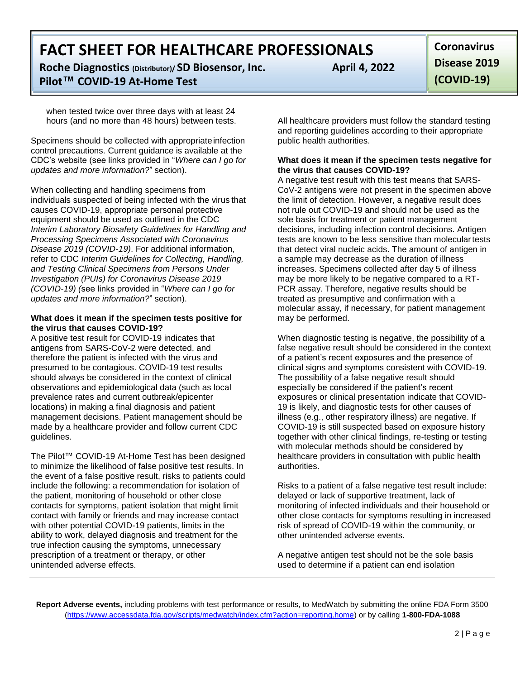**Roche Diagnostics (Distributor)/ SD Biosensor, Inc. Pilot™ COVID-19 At-Home Test**

when tested twice over three days with at least 24 hours (and no more than 48 hours) between tests.

Specimens should be collected with appropriate infection control precautions. Current guidance is available at the CDC's website (see links provided in "*Where can I go for updates and more information?*" section).

When collecting and handling specimens from individuals suspected of being infected with the virus that causes COVID-19, appropriate personal protective equipment should be used as outlined in the CDC *Interim Laboratory Biosafety Guidelines for Handling and Processing Specimens Associated with Coronavirus Disease 2019 (COVID-19)*. For additional information, refer to CDC *Interim Guidelines for Collecting, Handling, and Testing Clinical Specimens from Persons Under Investigation (PUIs) for Coronavirus Disease 2019 (COVID-19) (*see links provided in "*Where can I go for updates and more information?*" section).

## **What does it mean if the specimen tests positive for the virus that causes COVID-19?**

A positive test result for COVID-19 indicates that antigens from SARS-CoV-2 were detected, and therefore the patient is infected with the virus and presumed to be contagious. COVID-19 test results should always be considered in the context of clinical observations and epidemiological data (such as local prevalence rates and current outbreak/epicenter locations) in making a final diagnosis and patient management decisions. Patient management should be made by a healthcare provider and follow current CDC guidelines.

The Pilot™ COVID-19 At-Home Test has been designed to minimize the likelihood of false positive test results. In the event of a false positive result, risks to patients could include the following: a recommendation for isolation of the patient, monitoring of household or other close contacts for symptoms, patient isolation that might limit contact with family or friends and may increase contact with other potential COVID-19 patients, limits in the ability to work, delayed diagnosis and treatment for the true infection causing the symptoms, unnecessary prescription of a treatment or therapy, or other unintended adverse effects.

All healthcare providers must follow the standard testing

public health authorities.

and reporting guidelines according to their appropriate

# **What does it mean if the specimen tests negative for the virus that causes COVID-19?**

A negative test result with this test means that SARS-CoV-2 antigens were not present in the specimen above the limit of detection. However, a negative result does not rule out COVID-19 and should not be used as the sole basis for treatment or patient management decisions, including infection control decisions. Antigen tests are known to be less sensitive than molecular tests that detect viral nucleic acids. The amount of antigen in a sample may decrease as the duration of illness increases. Specimens collected after day 5 of illness may be more likely to be negative compared to a RT-PCR assay. Therefore, negative results should be treated as presumptive and confirmation with a molecular assay, if necessary, for patient management may be performed.

When diagnostic testing is negative, the possibility of a false negative result should be considered in the context of a patient's recent exposures and the presence of clinical signs and symptoms consistent with COVID-19. The possibility of a false negative result should especially be considered if the patient's recent exposures or clinical presentation indicate that COVID-19 is likely, and diagnostic tests for other causes of illness (e.g., other respiratory illness) are negative. If COVID-19 is still suspected based on exposure history together with other clinical findings, re-testing or testing with molecular methods should be considered by healthcare providers in consultation with public health authorities.

Risks to a patient of a false negative test result include: delayed or lack of supportive treatment, lack of monitoring of infected individuals and their household or other close contacts for symptoms resulting in increased risk of spread of COVID-19 within the community, or other unintended adverse events.

A negative antigen test should not be the sole basis used to determine if a patient can end isolation

**Report Adverse events,** including problems with test performance or results, to MedWatch by submitting the online FDA Form 3500 (https:[//www.accessdata.fda.gov/scripts/medwatch/index.cfm?action=reporting.home\) o](http://www.accessdata.fda.gov/scripts/medwatch/index.cfm?action=reporting.home))r by calling **1-800-FDA-1088**

**April 4, 2022**

**Coronavirus Disease 2019 (COVID-19)**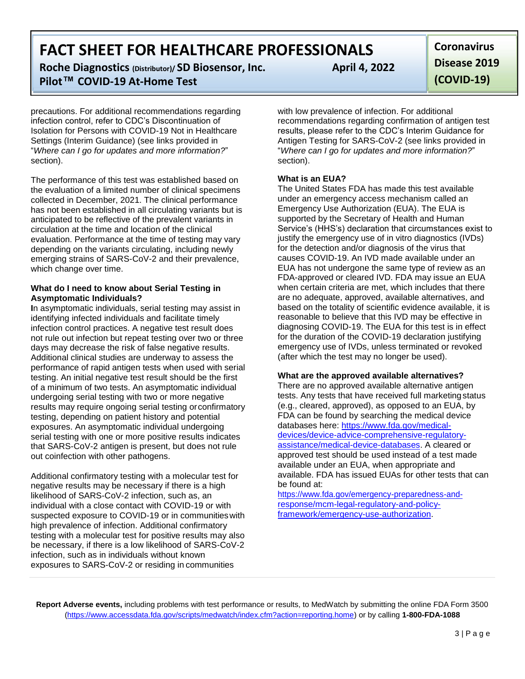**Roche Diagnostics (Distributor)/ SD Biosensor, Inc. Pilot™ COVID-19 At-Home Test**

precautions. For additional recommendations regarding infection control, refer to CDC's Discontinuation of Isolation for Persons with COVID-19 Not in Healthcare Settings (Interim Guidance) (see links provided in "*Where can I go for updates and more information?*" section).

The performance of this test was established based on the evaluation of a limited number of clinical specimens collected in December, 2021. The clinical performance has not been established in all circulating variants but is anticipated to be reflective of the prevalent variants in circulation at the time and location of the clinical evaluation. Performance at the time of testing may vary depending on the variants circulating, including newly emerging strains of SARS-CoV-2 and their prevalence, which change over time.

## **What do I need to know about Serial Testing in Asymptomatic Individuals?**

**I**n asymptomatic individuals, serial testing may assist in identifying infected individuals and facilitate timely infection control practices. A negative test result does not rule out infection but repeat testing over two or three days may decrease the risk of false negative results. Additional clinical studies are underway to assess the performance of rapid antigen tests when used with serial testing. An initial negative test result should be the first of a minimum of two tests. An asymptomatic individual undergoing serial testing with two or more negative results may require ongoing serial testing orconfirmatory testing, depending on patient history and potential exposures. An asymptomatic individual undergoing serial testing with one or more positive results indicates that SARS-CoV-2 antigen is present, but does not rule out coinfection with other pathogens.

Additional confirmatory testing with a molecular test for negative results may be necessary if there is a high likelihood of SARS-CoV-2 infection, such as, an individual with a close contact with COVID-19 or with suspected exposure to COVID-19 or in communitieswith high prevalence of infection. Additional confirmatory testing with a molecular test for positive results may also be necessary, if there is a low likelihood of SARS-CoV-2 infection, such as in individuals without known exposures to SARS-CoV-2 or residing in communities

**April 4, 2022**

**Coronavirus Disease 2019 (COVID-19)**

with low prevalence of infection. For additional recommendations regarding confirmation of antigen test results, please refer to the CDC's Interim Guidance for Antigen Testing for SARS-CoV-2 (see links provided in "*Where can I go for updates and more information?*" section).

# **What is an EUA?**

The United States FDA has made this test available under an emergency access mechanism called an Emergency Use Authorization (EUA). The EUA is supported by the Secretary of Health and Human Service's (HHS's) declaration that circumstances exist to justify the emergency use of in vitro diagnostics (IVDs) for the detection and/or diagnosis of the virus that causes COVID-19. An IVD made available under an EUA has not undergone the same type of review as an FDA-approved or cleared IVD. FDA may issue an EUA when certain criteria are met, which includes that there are no adequate, approved, available alternatives, and based on the totality of scientific evidence available, it is reasonable to believe that this IVD may be effective in diagnosing COVID-19. The EUA for this test is in effect for the duration of the COVID-19 declaration justifying emergency use of IVDs, unless terminated or revoked (after which the test may no longer be used).

# **What are the approved available alternatives?**

There are no approved available alternative antigen tests. Any tests that have received full marketing status (e.g., cleared, approved), as opposed to an EUA, by FDA can be found by searching the medical device databases here: https:/[/www.fda.gov/medical](http://www.fda.gov/medical-)devices/device-advice-comprehensive-regulatoryassistance/medical-device-databases. A cleared or approved test should be used instead of a test made available under an EUA, when appropriate and available. FDA has issued EUAs for other tests that can be found at:

https:/[/www.fda.gov/emergency-preparedness-and](http://www.fda.gov/emergency-preparedness-and-)response/mcm-legal-regulatory-and-policyframework/emergency-use-authorization.

**Report Adverse events,** including problems with test performance or results, to MedWatch by submitting the online FDA Form 3500 (https:[//www.accessdata.fda.gov/scripts/medwatch/index.cfm?action=reporting.home\) o](http://www.accessdata.fda.gov/scripts/medwatch/index.cfm?action=reporting.home))r by calling **1-800-FDA-1088**